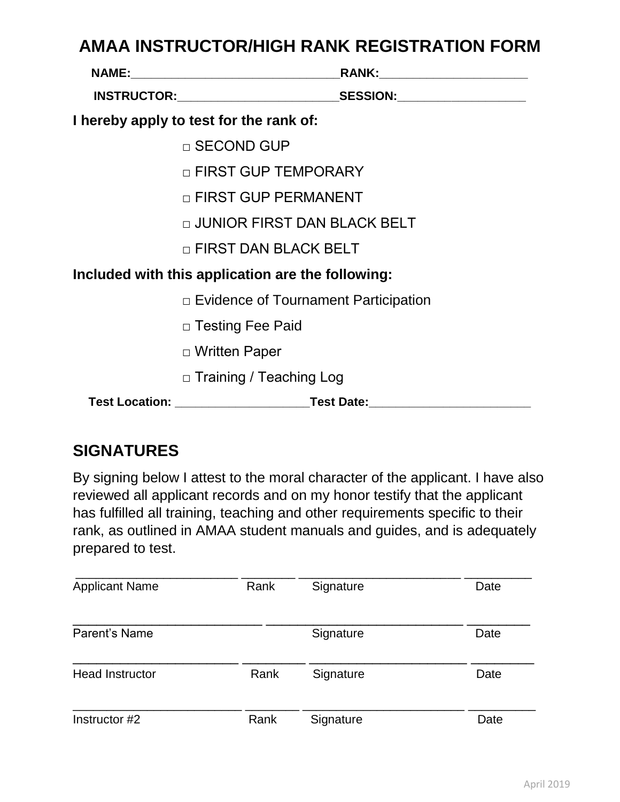## **AMAA INSTRUCTOR/HIGH RANK REGISTRATION FORM**

| I hereby apply to test for the rank of:           |                                                                                  |  |  |
|---------------------------------------------------|----------------------------------------------------------------------------------|--|--|
|                                                   | □ SECOND GUP                                                                     |  |  |
|                                                   | □ FIRST GUP TEMPORARY                                                            |  |  |
|                                                   | □ FIRST GUP PERMANENT                                                            |  |  |
|                                                   | □ JUNIOR FIRST DAN BLACK BELT                                                    |  |  |
|                                                   | □ FIRST DAN BLACK BELT                                                           |  |  |
| Included with this application are the following: |                                                                                  |  |  |
|                                                   | □ Evidence of Tournament Participation                                           |  |  |
|                                                   | □ Testing Fee Paid                                                               |  |  |
|                                                   | □ Written Paper                                                                  |  |  |
|                                                   | □ Training / Teaching Log                                                        |  |  |
|                                                   | Test Location: _______________________________Test Date:________________________ |  |  |

## **SIGNATURES**

By signing below I attest to the moral character of the applicant. I have also reviewed all applicant records and on my honor testify that the applicant has fulfilled all training, teaching and other requirements specific to their rank, as outlined in AMAA student manuals and guides, and is adequately prepared to test.

| <b>Applicant Name</b>  | Rank | Signature | Date |
|------------------------|------|-----------|------|
| Parent's Name          |      | Signature | Date |
| <b>Head Instructor</b> | Rank | Signature | Date |
| Instructor #2          | Rank | Signature | Date |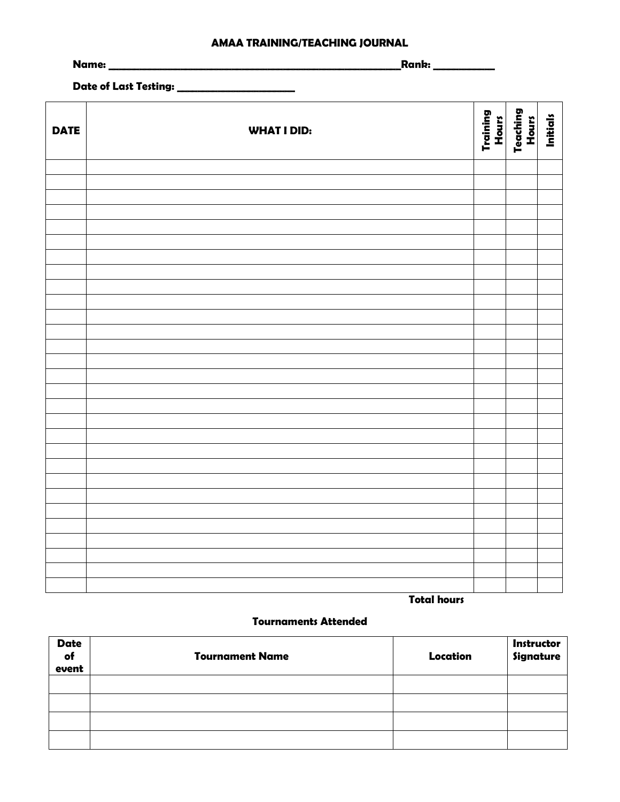#### **AMAA TRAINING/TEACHING JOURNAL**

**Name: \_\_\_\_\_\_\_\_\_\_\_\_\_\_\_\_\_\_\_\_\_\_\_\_\_\_\_\_\_\_\_\_\_\_\_\_\_\_\_\_\_\_\_\_\_\_\_\_\_\_\_\_\_\_\_\_\_Rank: \_\_\_\_\_\_\_\_\_\_\_\_** 

**Date of Last Testing: \_\_\_\_\_\_\_\_\_\_\_\_\_\_\_\_\_\_\_\_\_\_\_**

| <b>DATE</b> | <b>WHAT I DID:</b> | Training<br>Hours | Teaching<br>Hours | <b>Initials</b> |
|-------------|--------------------|-------------------|-------------------|-----------------|
|             |                    |                   |                   |                 |
|             |                    |                   |                   |                 |
|             |                    |                   |                   |                 |
|             |                    |                   |                   |                 |
|             |                    |                   |                   |                 |
|             |                    |                   |                   |                 |
|             |                    |                   |                   |                 |
|             |                    |                   |                   |                 |
|             |                    |                   |                   |                 |
|             |                    |                   |                   |                 |
|             |                    |                   |                   |                 |
|             |                    |                   |                   |                 |
|             |                    |                   |                   |                 |
|             |                    |                   |                   |                 |
|             |                    |                   |                   |                 |
|             |                    |                   |                   |                 |
|             |                    |                   |                   |                 |
|             |                    |                   |                   |                 |
|             |                    |                   |                   |                 |
|             |                    |                   |                   |                 |
|             |                    |                   |                   |                 |
|             |                    |                   |                   |                 |
|             |                    |                   |                   |                 |
|             |                    |                   |                   |                 |
|             |                    |                   |                   |                 |
|             |                    |                   |                   |                 |
|             |                    |                   |                   |                 |
|             |                    |                   |                   |                 |

 **Total hours**

#### **Tournaments Attended**

| <b>Date</b><br>of<br>event | <b>Tournament Name</b> | Location | Instructor<br>Signature |
|----------------------------|------------------------|----------|-------------------------|
|                            |                        |          |                         |
|                            |                        |          |                         |
|                            |                        |          |                         |
|                            |                        |          |                         |